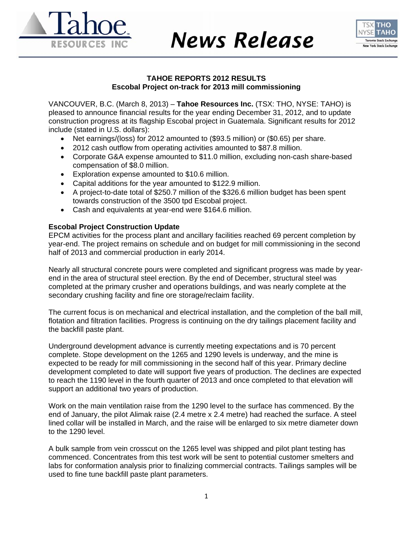



# **TAHOE REPORTS 2012 RESULTS Escobal Project on-track for 2013 mill commissioning**

VANCOUVER, B.C. (March 8, 2013) – **Tahoe Resources Inc.** (TSX: THO, NYSE: TAHO) is pleased to announce financial results for the year ending December 31, 2012, and to update construction progress at its flagship Escobal project in Guatemala. Significant results for 2012 include (stated in U.S. dollars):

- Net earnings/(loss) for 2012 amounted to (\$93.5 million) or (\$0.65) per share.
- 2012 cash outflow from operating activities amounted to \$87.8 million.
- Corporate G&A expense amounted to \$11.0 million, excluding non-cash share-based compensation of \$8.0 million.
- Exploration expense amounted to \$10.6 million.
- Capital additions for the year amounted to \$122.9 million.
- A project-to-date total of \$250.7 million of the \$326.6 million budget has been spent towards construction of the 3500 tpd Escobal project.
- Cash and equivalents at year-end were \$164.6 million.

# **Escobal Project Construction Update**

**RESOURCES** 

EPCM activities for the process plant and ancillary facilities reached 69 percent completion by year-end. The project remains on schedule and on budget for mill commissioning in the second half of 2013 and commercial production in early 2014.

Nearly all structural concrete pours were completed and significant progress was made by yearend in the area of structural steel erection. By the end of December, structural steel was completed at the primary crusher and operations buildings, and was nearly complete at the secondary crushing facility and fine ore storage/reclaim facility.

The current focus is on mechanical and electrical installation, and the completion of the ball mill, flotation and filtration facilities. Progress is continuing on the dry tailings placement facility and the backfill paste plant.

Underground development advance is currently meeting expectations and is 70 percent complete. Stope development on the 1265 and 1290 levels is underway, and the mine is expected to be ready for mill commissioning in the second half of this year. Primary decline development completed to date will support five years of production. The declines are expected to reach the 1190 level in the fourth quarter of 2013 and once completed to that elevation will support an additional two years of production.

Work on the main ventilation raise from the 1290 level to the surface has commenced. By the end of January, the pilot Alimak raise (2.4 metre x 2.4 metre) had reached the surface. A steel lined collar will be installed in March, and the raise will be enlarged to six metre diameter down to the 1290 level.

A bulk sample from vein crosscut on the 1265 level was shipped and pilot plant testing has commenced. Concentrates from this test work will be sent to potential customer smelters and labs for conformation analysis prior to finalizing commercial contracts. Tailings samples will be used to fine tune backfill paste plant parameters.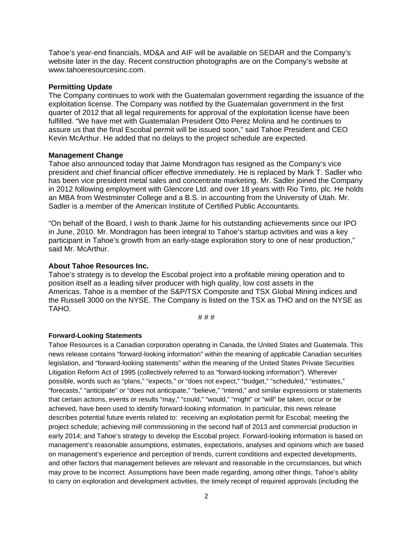Tahoe's year-end financials, MD&A and AIF will be available on SEDAR and the Company's website later in the day. Recent construction photographs are on the Company's website at www.tahoeresourcesinc.com.

#### **Permitting Update**

The Company continues to work with the Guatemalan government regarding the issuance of the exploitation license. The Company was notified by the Guatemalan government in the first quarter of 2012 that all legal requirements for approval of the exploitation license have been fulfilled. "We have met with Guatemalan President Otto Perez Molina and he continues to assure us that the final Escobal permit will be issued soon," said Tahoe President and CEO Kevin McArthur. He added that no delays to the project schedule are expected.

### **Management Change**

Tahoe also announced today that Jaime Mondragon has resigned as the Company's vice president and chief financial officer effective immediately. He is replaced by Mark T. Sadler who has been vice president metal sales and concentrate marketing. Mr. Sadler joined the Company in 2012 following employment with Glencore Ltd. and over 18 years with Rio Tinto, plc. He holds an MBA from Westminster College and a B.S. in accounting from the University of Utah. Mr. Sadler is a member of the American Institute of Certified Public Accountants.

"On behalf of the Board, I wish to thank Jaime for his outstanding achievements since our IPO in June, 2010. Mr. Mondragon has been integral to Tahoe's startup activities and was a key participant in Tahoe's growth from an early-stage exploration story to one of near production," said Mr. McArthur.

### **About Tahoe Resources Inc.**

Tahoe's strategy is to develop the Escobal project into a profitable mining operation and to position itself as a leading silver producer with high quality, low cost assets in the Americas. Tahoe is a member of the S&P/TSX Composite and TSX Global Mining indices and the Russell 3000 on the NYSE. The Company is listed on the TSX as THO and on the NYSE as TAHO.

# # #

#### **Forward-Looking Statements**

Tahoe Resources is a Canadian corporation operating in Canada, the United States and Guatemala. This news release contains "forward-looking information" within the meaning of applicable Canadian securities legislation, and "forward-looking statements" within the meaning of the United States Private Securities Litigation Reform Act of 1995 (collectively referred to as "forward-looking information"). Wherever possible, words such as "plans," "expects," or "does not expect," "budget," "scheduled," "estimates," "forecasts," "anticipate" or "does not anticipate," "believe," "intend," and similar expressions or statements that certain actions, events or results "may," "could," "would," "might" or "will" be taken, occur or be achieved, have been used to identify forward-looking information. In particular, this news release describes potential future events related to: receiving an exploitation permit for Escobal; meeting the project schedule; achieving mill commissioning in the second half of 2013 and commercial production in early 2014; and Tahoe's strategy to develop the Escobal project. Forward-looking information is based on management's reasonable assumptions, estimates, expectations, analyses and opinions which are based on management's experience and perception of trends, current conditions and expected developments, and other factors that management believes are relevant and reasonable in the circumstances, but which may prove to be incorrect. Assumptions have been made regarding, among other things, Tahoe's ability to carry on exploration and development activities, the timely receipt of required approvals (including the